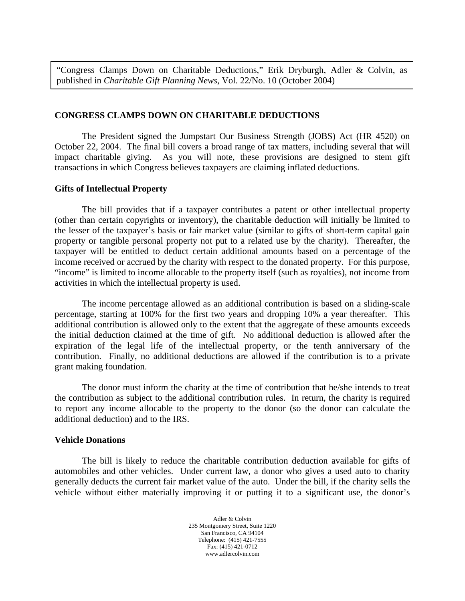"Congress Clamps Down on Charitable Deductions," Erik Dryburgh, Adler & Colvin, as published in *Charitable Gift Planning News*, Vol. 22/No. 10 (October 2004)

## **CONGRESS CLAMPS DOWN ON CHARITABLE DEDUCTIONS**

 The President signed the Jumpstart Our Business Strength (JOBS) Act (HR 4520) on October 22, 2004. The final bill covers a broad range of tax matters, including several that will impact charitable giving. As you will note, these provisions are designed to stem gift transactions in which Congress believes taxpayers are claiming inflated deductions.

## **Gifts of Intellectual Property**

 The bill provides that if a taxpayer contributes a patent or other intellectual property (other than certain copyrights or inventory), the charitable deduction will initially be limited to the lesser of the taxpayer's basis or fair market value (similar to gifts of short-term capital gain property or tangible personal property not put to a related use by the charity). Thereafter, the taxpayer will be entitled to deduct certain additional amounts based on a percentage of the income received or accrued by the charity with respect to the donated property. For this purpose, "income" is limited to income allocable to the property itself (such as royalties), not income from activities in which the intellectual property is used.

 The income percentage allowed as an additional contribution is based on a sliding-scale percentage, starting at 100% for the first two years and dropping 10% a year thereafter. This additional contribution is allowed only to the extent that the aggregate of these amounts exceeds the initial deduction claimed at the time of gift. No additional deduction is allowed after the expiration of the legal life of the intellectual property, or the tenth anniversary of the contribution. Finally, no additional deductions are allowed if the contribution is to a private grant making foundation.

 The donor must inform the charity at the time of contribution that he/she intends to treat the contribution as subject to the additional contribution rules. In return, the charity is required to report any income allocable to the property to the donor (so the donor can calculate the additional deduction) and to the IRS.

## **Vehicle Donations**

 The bill is likely to reduce the charitable contribution deduction available for gifts of automobiles and other vehicles. Under current law, a donor who gives a used auto to charity generally deducts the current fair market value of the auto. Under the bill, if the charity sells the vehicle without either materially improving it or putting it to a significant use, the donor's

> Adler & Colvin 235 Montgomery Street, Suite 1220 San Francisco, CA 94104 Telephone: (415) 421-7555 Fax: (415) 421-0712 www.adlercolvin.com